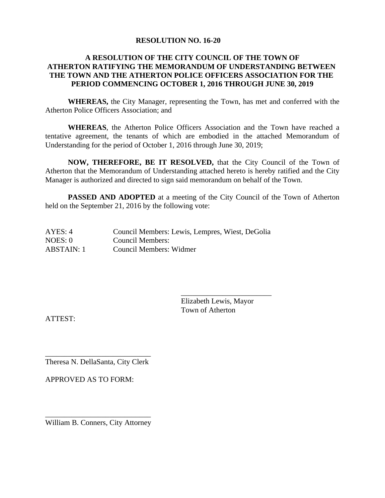#### **RESOLUTION NO. 16-20**

## **A RESOLUTION OF THE CITY COUNCIL OF THE TOWN OF ATHERTON RATIFYING THE MEMORANDUM OF UNDERSTANDING BETWEEN THE TOWN AND THE ATHERTON POLICE OFFICERS ASSOCIATION FOR THE PERIOD COMMENCING OCTOBER 1, 2016 THROUGH JUNE 30, 2019**

**WHEREAS,** the City Manager, representing the Town, has met and conferred with the Atherton Police Officers Association; and

**WHEREAS**, the Atherton Police Officers Association and the Town have reached a tentative agreement, the tenants of which are embodied in the attached Memorandum of Understanding for the period of October 1, 2016 through June 30, 2019;

**NOW, THEREFORE, BE IT RESOLVED,** that the City Council of the Town of Atherton that the Memorandum of Understanding attached hereto is hereby ratified and the City Manager is authorized and directed to sign said memorandum on behalf of the Town.

**PASSED AND ADOPTED** at a meeting of the City Council of the Town of Atherton held on the September 21, 2016 by the following vote:

| AYES: 4    | Council Members: Lewis, Lempres, Wiest, DeGolia |
|------------|-------------------------------------------------|
| NOES: 0    | Council Members:                                |
| ABSTAIN: 1 | Council Members: Widmer                         |

\_\_\_\_\_\_\_\_\_\_\_\_\_\_\_\_\_\_\_\_\_\_\_\_ Elizabeth Lewis, Mayor Town of Atherton

ATTEST:

\_\_\_\_\_\_\_\_\_\_\_\_\_\_\_\_\_\_\_\_\_\_\_\_\_\_\_\_ Theresa N. DellaSanta, City Clerk

APPROVED AS TO FORM:

\_\_\_\_\_\_\_\_\_\_\_\_\_\_\_\_\_\_\_\_\_\_\_\_\_\_\_\_ William B. Conners, City Attorney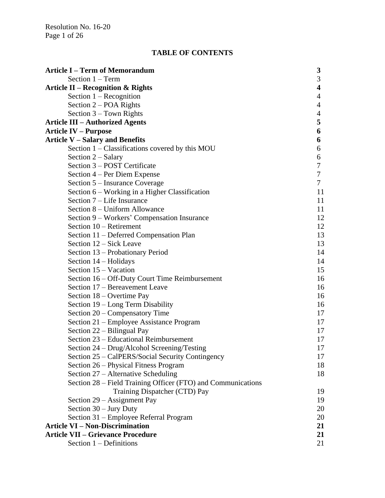Resolution No. 16-20 Page 1 of 26

# **TABLE OF CONTENTS**

| Section $1 - Term$<br>3<br>4<br><b>Article II – Recognition &amp; Rights</b><br>Section $1 -$ Recognition<br>$\overline{4}$<br>Section 2 – POA Rights<br>4<br>Section 3 - Town Rights<br>$\overline{4}$<br>5<br><b>Article III – Authorized Agents</b><br>6<br><b>Article IV – Purpose</b><br><b>Article V - Salary and Benefits</b><br>6<br>Section 1 - Classifications covered by this MOU<br>6<br>Section 2 – Salary<br>6<br>7<br>Section 3 – POST Certificate<br>Section 4 – Per Diem Expense<br>7<br>$\overline{7}$<br>Section 5 – Insurance Coverage<br>Section 6 - Working in a Higher Classification<br>11 |
|--------------------------------------------------------------------------------------------------------------------------------------------------------------------------------------------------------------------------------------------------------------------------------------------------------------------------------------------------------------------------------------------------------------------------------------------------------------------------------------------------------------------------------------------------------------------------------------------------------------------|
|                                                                                                                                                                                                                                                                                                                                                                                                                                                                                                                                                                                                                    |
|                                                                                                                                                                                                                                                                                                                                                                                                                                                                                                                                                                                                                    |
|                                                                                                                                                                                                                                                                                                                                                                                                                                                                                                                                                                                                                    |
|                                                                                                                                                                                                                                                                                                                                                                                                                                                                                                                                                                                                                    |
|                                                                                                                                                                                                                                                                                                                                                                                                                                                                                                                                                                                                                    |
|                                                                                                                                                                                                                                                                                                                                                                                                                                                                                                                                                                                                                    |
|                                                                                                                                                                                                                                                                                                                                                                                                                                                                                                                                                                                                                    |
|                                                                                                                                                                                                                                                                                                                                                                                                                                                                                                                                                                                                                    |
|                                                                                                                                                                                                                                                                                                                                                                                                                                                                                                                                                                                                                    |
|                                                                                                                                                                                                                                                                                                                                                                                                                                                                                                                                                                                                                    |
|                                                                                                                                                                                                                                                                                                                                                                                                                                                                                                                                                                                                                    |
|                                                                                                                                                                                                                                                                                                                                                                                                                                                                                                                                                                                                                    |
|                                                                                                                                                                                                                                                                                                                                                                                                                                                                                                                                                                                                                    |
|                                                                                                                                                                                                                                                                                                                                                                                                                                                                                                                                                                                                                    |
| Section 7 – Life Insurance<br>11                                                                                                                                                                                                                                                                                                                                                                                                                                                                                                                                                                                   |
| Section 8 – Uniform Allowance<br>11                                                                                                                                                                                                                                                                                                                                                                                                                                                                                                                                                                                |
| 12<br>Section 9 – Workers' Compensation Insurance                                                                                                                                                                                                                                                                                                                                                                                                                                                                                                                                                                  |
| Section 10 – Retirement<br>12                                                                                                                                                                                                                                                                                                                                                                                                                                                                                                                                                                                      |
| 13<br>Section 11 - Deferred Compensation Plan                                                                                                                                                                                                                                                                                                                                                                                                                                                                                                                                                                      |
| 13<br>Section 12 – Sick Leave                                                                                                                                                                                                                                                                                                                                                                                                                                                                                                                                                                                      |
| 14<br>Section 13 – Probationary Period                                                                                                                                                                                                                                                                                                                                                                                                                                                                                                                                                                             |
| 14<br>Section 14 – Holidays                                                                                                                                                                                                                                                                                                                                                                                                                                                                                                                                                                                        |
| Section 15 – Vacation<br>15                                                                                                                                                                                                                                                                                                                                                                                                                                                                                                                                                                                        |
| 16<br>Section 16 – Off-Duty Court Time Reimbursement                                                                                                                                                                                                                                                                                                                                                                                                                                                                                                                                                               |
| Section 17 - Bereavement Leave<br>16                                                                                                                                                                                                                                                                                                                                                                                                                                                                                                                                                                               |
| Section 18 – Overtime Pay<br>16                                                                                                                                                                                                                                                                                                                                                                                                                                                                                                                                                                                    |
| Section 19 – Long Term Disability<br>16                                                                                                                                                                                                                                                                                                                                                                                                                                                                                                                                                                            |
| Section 20 – Compensatory Time<br>17                                                                                                                                                                                                                                                                                                                                                                                                                                                                                                                                                                               |
| Section 21 – Employee Assistance Program<br>17                                                                                                                                                                                                                                                                                                                                                                                                                                                                                                                                                                     |
| Section 22 – Bilingual Pay<br>17                                                                                                                                                                                                                                                                                                                                                                                                                                                                                                                                                                                   |
| Section 23 – Educational Reimbursement<br>17                                                                                                                                                                                                                                                                                                                                                                                                                                                                                                                                                                       |
| 17<br>Section 24 – Drug/Alcohol Screening/Testing                                                                                                                                                                                                                                                                                                                                                                                                                                                                                                                                                                  |
| Section 25 – CalPERS/Social Security Contingency<br>17                                                                                                                                                                                                                                                                                                                                                                                                                                                                                                                                                             |
| 18<br>Section 26 – Physical Fitness Program                                                                                                                                                                                                                                                                                                                                                                                                                                                                                                                                                                        |
| 18<br>Section 27 – Alternative Scheduling                                                                                                                                                                                                                                                                                                                                                                                                                                                                                                                                                                          |
| Section 28 – Field Training Officer (FTO) and Communications                                                                                                                                                                                                                                                                                                                                                                                                                                                                                                                                                       |
| Training Dispatcher (CTD) Pay<br>19                                                                                                                                                                                                                                                                                                                                                                                                                                                                                                                                                                                |
| Section 29 - Assignment Pay<br>19                                                                                                                                                                                                                                                                                                                                                                                                                                                                                                                                                                                  |
| Section 30 - Jury Duty<br>20                                                                                                                                                                                                                                                                                                                                                                                                                                                                                                                                                                                       |
| Section 31 – Employee Referral Program<br>20                                                                                                                                                                                                                                                                                                                                                                                                                                                                                                                                                                       |
| <b>Article VI – Non-Discrimination</b><br>21                                                                                                                                                                                                                                                                                                                                                                                                                                                                                                                                                                       |
| <b>Article VII – Grievance Procedure</b><br>21                                                                                                                                                                                                                                                                                                                                                                                                                                                                                                                                                                     |
| Section 1 – Definitions<br>21                                                                                                                                                                                                                                                                                                                                                                                                                                                                                                                                                                                      |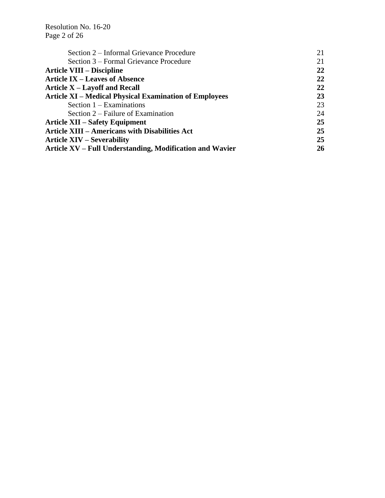Resolution No. 16-20 Page 2 of 26

| Section 2 – Informal Grievance Procedure                      | 21 |
|---------------------------------------------------------------|----|
| Section 3 – Formal Grievance Procedure                        | 21 |
| <b>Article VIII – Discipline</b>                              | 22 |
| <b>Article IX – Leaves of Absence</b>                         | 22 |
| Article X – Layoff and Recall                                 | 22 |
| <b>Article XI – Medical Physical Examination of Employees</b> | 23 |
| Section $1 - Examinations$                                    | 23 |
| Section 2 – Failure of Examination                            | 24 |
| <b>Article XII – Safety Equipment</b>                         | 25 |
| <b>Article XIII - Americans with Disabilities Act</b>         | 25 |
| <b>Article XIV – Severability</b>                             | 25 |
| Article XV – Full Understanding, Modification and Wavier      | 26 |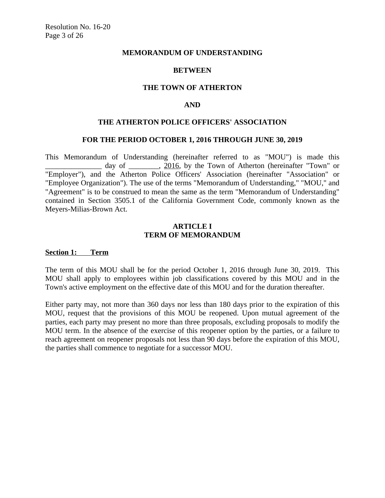#### **MEMORANDUM OF UNDERSTANDING**

#### **BETWEEN**

#### **THE TOWN OF ATHERTON**

#### **AND**

#### **THE ATHERTON POLICE OFFICERS' ASSOCIATION**

#### **FOR THE PERIOD OCTOBER 1, 2016 THROUGH JUNE 30, 2019**

This Memorandum of Understanding (hereinafter referred to as "MOU") is made this day of \_\_\_\_\_\_\_\_, 2016, by the Town of Atherton (hereinafter "Town" or "Employer"), and the Atherton Police Officers' Association (hereinafter "Association" or "Employee Organization"). The use of the terms "Memorandum of Understanding," "MOU," and "Agreement" is to be construed to mean the same as the term "Memorandum of Understanding" contained in Section 3505.1 of the California Government Code, commonly known as the Meyers-Milias-Brown Act.

## **ARTICLE I TERM OF MEMORANDUM**

#### **Section 1: Term**

The term of this MOU shall be for the period October 1, 2016 through June 30, 2019. This MOU shall apply to employees within job classifications covered by this MOU and in the Town's active employment on the effective date of this MOU and for the duration thereafter.

Either party may, not more than 360 days nor less than 180 days prior to the expiration of this MOU, request that the provisions of this MOU be reopened. Upon mutual agreement of the parties, each party may present no more than three proposals, excluding proposals to modify the MOU term. In the absence of the exercise of this reopener option by the parties, or a failure to reach agreement on reopener proposals not less than 90 days before the expiration of this MOU, the parties shall commence to negotiate for a successor MOU.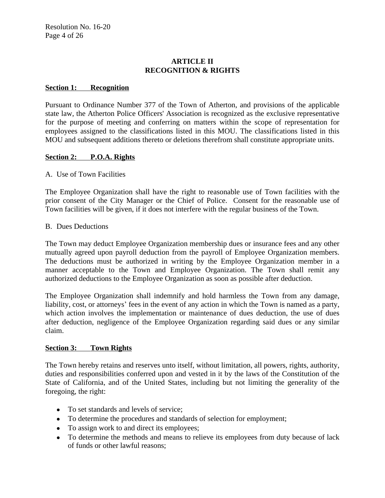# **ARTICLE II RECOGNITION & RIGHTS**

## **Section 1: Recognition**

Pursuant to Ordinance Number 377 of the Town of Atherton, and provisions of the applicable state law, the Atherton Police Officers' Association is recognized as the exclusive representative for the purpose of meeting and conferring on matters within the scope of representation for employees assigned to the classifications listed in this MOU. The classifications listed in this MOU and subsequent additions thereto or deletions therefrom shall constitute appropriate units.

# **Section 2: P.O.A. Rights**

## A. Use of Town Facilities

The Employee Organization shall have the right to reasonable use of Town facilities with the prior consent of the City Manager or the Chief of Police. Consent for the reasonable use of Town facilities will be given, if it does not interfere with the regular business of the Town.

## B. Dues Deductions

The Town may deduct Employee Organization membership dues or insurance fees and any other mutually agreed upon payroll deduction from the payroll of Employee Organization members. The deductions must be authorized in writing by the Employee Organization member in a manner acceptable to the Town and Employee Organization. The Town shall remit any authorized deductions to the Employee Organization as soon as possible after deduction.

The Employee Organization shall indemnify and hold harmless the Town from any damage, liability, cost, or attorneys' fees in the event of any action in which the Town is named as a party, which action involves the implementation or maintenance of dues deduction, the use of dues after deduction, negligence of the Employee Organization regarding said dues or any similar claim.

## **Section 3: Town Rights**

The Town hereby retains and reserves unto itself, without limitation, all powers, rights, authority, duties and responsibilities conferred upon and vested in it by the laws of the Constitution of the State of California, and of the United States, including but not limiting the generality of the foregoing, the right:

- To set standards and levels of service;
- To determine the procedures and standards of selection for employment;
- To assign work to and direct its employees;
- To determine the methods and means to relieve its employees from duty because of lack of funds or other lawful reasons;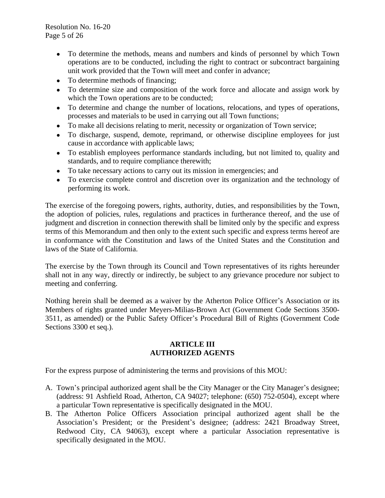Resolution No. 16-20 Page 5 of 26

- To determine the methods, means and numbers and kinds of personnel by which Town operations are to be conducted, including the right to contract or subcontract bargaining unit work provided that the Town will meet and confer in advance;
- To determine methods of financing;
- To determine size and composition of the work force and allocate and assign work by which the Town operations are to be conducted;
- To determine and change the number of locations, relocations, and types of operations, processes and materials to be used in carrying out all Town functions;
- To make all decisions relating to merit, necessity or organization of Town service;
- To discharge, suspend, demote, reprimand, or otherwise discipline employees for just cause in accordance with applicable laws;
- To establish employees performance standards including, but not limited to, quality and standards, and to require compliance therewith;
- To take necessary actions to carry out its mission in emergencies; and
- To exercise complete control and discretion over its organization and the technology of performing its work.

The exercise of the foregoing powers, rights, authority, duties, and responsibilities by the Town, the adoption of policies, rules, regulations and practices in furtherance thereof, and the use of judgment and discretion in connection therewith shall be limited only by the specific and express terms of this Memorandum and then only to the extent such specific and express terms hereof are in conformance with the Constitution and laws of the United States and the Constitution and laws of the State of California.

The exercise by the Town through its Council and Town representatives of its rights hereunder shall not in any way, directly or indirectly, be subject to any grievance procedure nor subject to meeting and conferring.

Nothing herein shall be deemed as a waiver by the Atherton Police Officer's Association or its Members of rights granted under Meyers-Milias-Brown Act (Government Code Sections 3500- 3511, as amended) or the Public Safety Officer's Procedural Bill of Rights (Government Code Sections 3300 et seq.).

# **ARTICLE III AUTHORIZED AGENTS**

For the express purpose of administering the terms and provisions of this MOU:

- A. Town's principal authorized agent shall be the City Manager or the City Manager's designee; (address: 91 Ashfield Road, Atherton, CA 94027; telephone: (650) 752-0504), except where a particular Town representative is specifically designated in the MOU.
- B. The Atherton Police Officers Association principal authorized agent shall be the Association's President; or the President's designee; (address: 2421 Broadway Street, Redwood City, CA 94063), except where a particular Association representative is specifically designated in the MOU.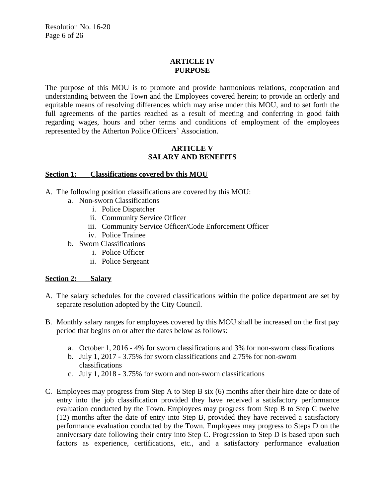## **ARTICLE IV PURPOSE**

The purpose of this MOU is to promote and provide harmonious relations, cooperation and understanding between the Town and the Employees covered herein; to provide an orderly and equitable means of resolving differences which may arise under this MOU, and to set forth the full agreements of the parties reached as a result of meeting and conferring in good faith regarding wages, hours and other terms and conditions of employment of the employees represented by the Atherton Police Officers' Association.

# **ARTICLE V SALARY AND BENEFITS**

## **Section 1: Classifications covered by this MOU**

- A. The following position classifications are covered by this MOU:
	- a. Non-sworn Classifications
		- i. Police Dispatcher
		- ii. Community Service Officer
		- iii. Community Service Officer/Code Enforcement Officer
		- iv. Police Trainee
	- b. Sworn Classifications
		- i. Police Officer
		- ii. Police Sergeant

# **Section 2: Salary**

- A. The salary schedules for the covered classifications within the police department are set by separate resolution adopted by the City Council.
- B. Monthly salary ranges for employees covered by this MOU shall be increased on the first pay period that begins on or after the dates below as follows:
	- a. October 1, 2016 4% for sworn classifications and 3% for non-sworn classifications
	- b. July 1, 2017 3.75% for sworn classifications and 2.75% for non-sworn classifications
	- c. July 1, 2018 3.75% for sworn and non-sworn classifications
- C. Employees may progress from Step A to Step B six (6) months after their hire date or date of entry into the job classification provided they have received a satisfactory performance evaluation conducted by the Town. Employees may progress from Step B to Step C twelve (12) months after the date of entry into Step B, provided they have received a satisfactory performance evaluation conducted by the Town. Employees may progress to Steps D on the anniversary date following their entry into Step C. Progression to Step D is based upon such factors as experience, certifications, etc., and a satisfactory performance evaluation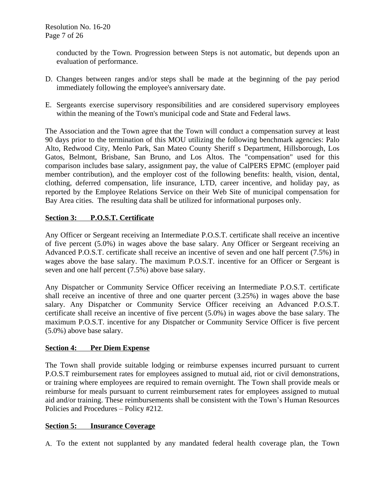conducted by the Town. Progression between Steps is not automatic, but depends upon an evaluation of performance.

- D. Changes between ranges and/or steps shall be made at the beginning of the pay period immediately following the employee's anniversary date.
- E. Sergeants exercise supervisory responsibilities and are considered supervisory employees within the meaning of the Town's municipal code and State and Federal laws.

The Association and the Town agree that the Town will conduct a compensation survey at least 90 days prior to the termination of this MOU utilizing the following benchmark agencies: Palo Alto, Redwood City, Menlo Park, San Mateo County Sheriff s Department, Hillsborough, Los Gatos, Belmont, Brisbane, San Bruno, and Los Altos. The "compensation" used for this comparison includes base salary, assignment pay, the value of CalPERS EPMC (employer paid member contribution), and the employer cost of the following benefits: health, vision, dental, clothing, deferred compensation, life insurance, LTD, career incentive, and holiday pay, as reported by the Employee Relations Service on their Web Site of municipal compensation for Bay Area cities. The resulting data shall be utilized for informational purposes only.

# **Section 3: P.O.S.T. Certificate**

Any Officer or Sergeant receiving an Intermediate P.O.S.T. certificate shall receive an incentive of five percent (5.0%) in wages above the base salary. Any Officer or Sergeant receiving an Advanced P.O.S.T. certificate shall receive an incentive of seven and one half percent (7.5%) in wages above the base salary. The maximum P.O.S.T. incentive for an Officer or Sergeant is seven and one half percent (7.5%) above base salary.

Any Dispatcher or Community Service Officer receiving an Intermediate P.O.S.T. certificate shall receive an incentive of three and one quarter percent (3.25%) in wages above the base salary. Any Dispatcher or Community Service Officer receiving an Advanced P.O.S.T. certificate shall receive an incentive of five percent (5.0%) in wages above the base salary. The maximum P.O.S.T. incentive for any Dispatcher or Community Service Officer is five percent (5.0%) above base salary.

# **Section 4: Per Diem Expense**

The Town shall provide suitable lodging or reimburse expenses incurred pursuant to current P.O.S.T reimbursement rates for employees assigned to mutual aid, riot or civil demonstrations, or training where employees are required to remain overnight. The Town shall provide meals or reimburse for meals pursuant to current reimbursement rates for employees assigned to mutual aid and/or training. These reimbursements shall be consistent with the Town's Human Resources Policies and Procedures – Policy #212.

## **Section 5: Insurance Coverage**

A. To the extent not supplanted by any mandated federal health coverage plan, the Town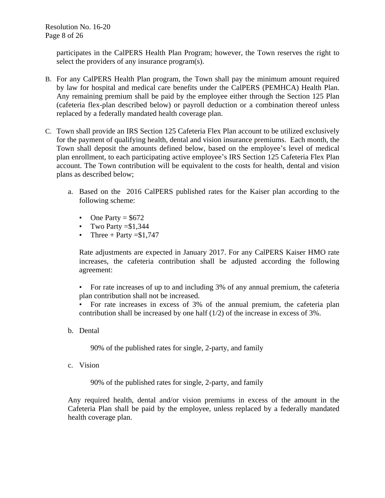participates in the CalPERS Health Plan Program; however, the Town reserves the right to select the providers of any insurance program(s).

- B. For any CalPERS Health Plan program, the Town shall pay the minimum amount required by law for hospital and medical care benefits under the CalPERS (PEMHCA) Health Plan. Any remaining premium shall be paid by the employee either through the Section 125 Plan (cafeteria flex-plan described below) or payroll deduction or a combination thereof unless replaced by a federally mandated health coverage plan.
- C. Town shall provide an IRS Section 125 Cafeteria Flex Plan account to be utilized exclusively for the payment of qualifying health, dental and vision insurance premiums. Each month, the Town shall deposit the amounts defined below, based on the employee's level of medical plan enrollment, to each participating active employee's IRS Section 125 Cafeteria Flex Plan account. The Town contribution will be equivalent to the costs for health, dental and vision plans as described below;
	- a. Based on the 2016 CalPERS published rates for the Kaiser plan according to the following scheme:
		- One Party  $= $672$
		- Two Party  $= $1,344$
		- Three + Party = \$1,747

Rate adjustments are expected in January 2017. For any CalPERS Kaiser HMO rate increases, the cafeteria contribution shall be adjusted according the following agreement:

• For rate increases of up to and including 3% of any annual premium, the cafeteria plan contribution shall not be increased.

• For rate increases in excess of 3% of the annual premium, the cafeteria plan contribution shall be increased by one half (1/2) of the increase in excess of 3%.

b. Dental

90% of the published rates for single, 2-party, and family

c. Vision

90% of the published rates for single, 2-party, and family

Any required health, dental and/or vision premiums in excess of the amount in the Cafeteria Plan shall be paid by the employee, unless replaced by a federally mandated health coverage plan.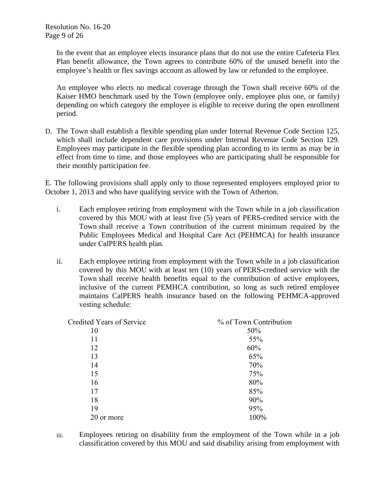In the event that an employee elects insurance plans that do not use the entire Cafeteria Flex Plan benefit allowance, the Town agrees to contribute 60% of the unused benefit into the employee's health or flex savings account as allowed by law or refunded to the employee.

An employee who elects no medical coverage through the Town shall receive 60% of the Kaiser HMO benchmark used by the Town (employee only, employee plus one, or family) depending on which category the employee is eligible to receive during the open enrollment period.

D. The Town shall establish a flexible spending plan under Internal Revenue Code Section 125, which shall include dependent care provisions under Internal Revenue Code Section 129. Employees may participate in the flexible spending plan according to its terms as may be in effect from time to time, and those employees who are participating shall be responsible for their monthly participation fee.

E. The following provisions shall apply only to those represented employees employed prior to October 1, 2013 and who have qualifying service with the Town of Atherton.

- i. Each employee retiring from employment with the Town while in a job classification covered by this MOU with at least five (5) years of PERS-credited service with the Town shall receive a Town contribution of the current minimum required by the Public Employees Medical and Hospital Care Act (PEHMCA) for health insurance under CalPERS health plan.
- ii. Each employee retiring from employment with the Town while in a job classification covered by this MOU with at least ten (10) years of PERS-credited service with the Town shall receive health benefits equal to the contribution of active employees, inclusive of the current PEMHCA contribution, so long as such retired employee maintains CalPERS health insurance based on the following PEHMCA-approved vesting schedule:

| <b>Credited Years of Service</b> | % of Town Contribution |
|----------------------------------|------------------------|
| 10                               | 50%                    |
| 11                               | 55%                    |
| 12                               | 60%                    |
| 13                               | 65%                    |
| 14                               | 70%                    |
| 15                               | 75%                    |
| 16                               | 80%                    |
| 17                               | 85%                    |
| 18                               | 90%                    |
| 19                               | 95%                    |
| 20 or more                       | 100%                   |

iii. Employees retiring on disability from the employment of the Town while in a job classification covered by this MOU and said disability arising from employment with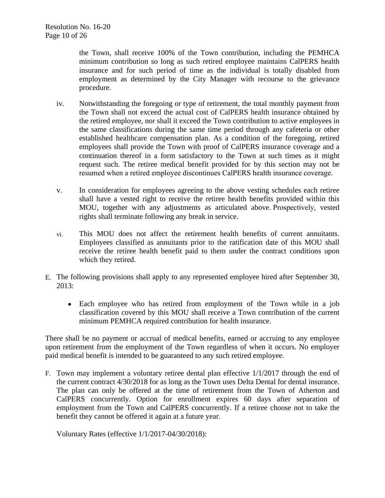the Town, shall receive 100% of the Town contribution, including the PEMHCA minimum contribution so long as such retired employee maintains CalPERS health insurance and for such period of time as the individual is totally disabled from employment as determined by the City Manager with recourse to the grievance procedure.

- iv. Notwithstanding the foregoing or type of retirement, the total monthly payment from the Town shall not exceed the actual cost of CalPERS health insurance obtained by the retired employee, nor shall it exceed the Town contribution to active employees in the same classifications during the same time period through any cafeteria or other established healthcare compensation plan. As a condition of the foregoing, retired employees shall provide the Town with proof of CalPERS insurance coverage and a continuation thereof in a form satisfactory to the Town at such times as it might request such. The retiree medical benefit provided for by this section may not be resumed when a retired employee discontinues CalPERS health insurance coverage.
- v. In consideration for employees agreeing to the above vesting schedules each retiree shall have a vested right to receive the retiree health benefits provided within this MOU, together with any adjustments as articulated above. Prospectively, vested rights shall terminate following any break in service.
- vi. This MOU does not affect the retirement health benefits of current annuitants. Employees classified as annuitants prior to the ratification date of this MOU shall receive the retiree health benefit paid to them under the contract conditions upon which they retired.
- E. The following provisions shall apply to any represented employee hired after September 30, 2013:
	- Each employee who has retired from employment of the Town while in a job classification covered by this MOU shall receive a Town contribution of the current minimum PEMHCA required contribution for health insurance.

There shall be no payment or accrual of medical benefits, earned or accruing to any employee upon retirement from the employment of the Town regardless of when it occurs. No employer paid medical benefit is intended to be guaranteed to any such retired employee.

F. Town may implement a voluntary retiree dental plan effective 1/1/2017 through the end of the current contract 4/30/2018 for as long as the Town uses Delta Dental for dental insurance. The plan can only be offered at the time of retirement from the Town of Atherton and CalPERS concurrently. Option for enrollment expires 60 days after separation of employment from the Town and CalPERS concurrently. If a retiree choose not to take the benefit they cannot be offered it again at a future year.

Voluntary Rates (effective 1/1/2017-04/30/2018):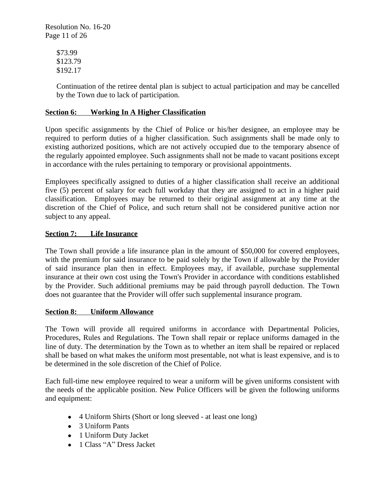Resolution No. 16-20 Page 11 of 26

> \$73.99 \$123.79 \$192.17

Continuation of the retiree dental plan is subject to actual participation and may be cancelled by the Town due to lack of participation.

## **Section 6: Working In A Higher Classification**

Upon specific assignments by the Chief of Police or his/her designee, an employee may be required to perform duties of a higher classification. Such assignments shall be made only to existing authorized positions, which are not actively occupied due to the temporary absence of the regularly appointed employee. Such assignments shall not be made to vacant positions except in accordance with the rules pertaining to temporary or provisional appointments.

Employees specifically assigned to duties of a higher classification shall receive an additional five (5) percent of salary for each full workday that they are assigned to act in a higher paid classification. Employees may be returned to their original assignment at any time at the discretion of the Chief of Police, and such return shall not be considered punitive action nor subject to any appeal.

## **Section 7: Life Insurance**

The Town shall provide a life insurance plan in the amount of \$50,000 for covered employees, with the premium for said insurance to be paid solely by the Town if allowable by the Provider of said insurance plan then in effect. Employees may, if available, purchase supplemental insurance at their own cost using the Town's Provider in accordance with conditions established by the Provider. Such additional premiums may be paid through payroll deduction. The Town does not guarantee that the Provider will offer such supplemental insurance program.

#### **Section 8: Uniform Allowance**

The Town will provide all required uniforms in accordance with Departmental Policies, Procedures, Rules and Regulations. The Town shall repair or replace uniforms damaged in the line of duty. The determination by the Town as to whether an item shall be repaired or replaced shall be based on what makes the uniform most presentable, not what is least expensive, and is to be determined in the sole discretion of the Chief of Police.

Each full-time new employee required to wear a uniform will be given uniforms consistent with the needs of the applicable position. New Police Officers will be given the following uniforms and equipment:

- 4 Uniform Shirts (Short or long sleeved at least one long)
- 3 Uniform Pants
- 1 Uniform Duty Jacket
- 1 Class "A" Dress Jacket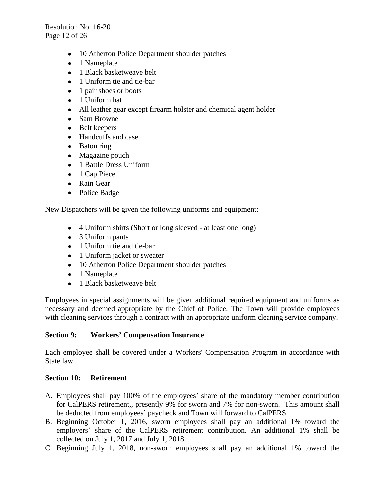Resolution No. 16-20 Page 12 of 26

- 10 Atherton Police Department shoulder patches
- 1 Nameplate
- 1 Black basketweave belt
- 1 Uniform tie and tie-bar
- $\bullet$  1 pair shoes or boots
- 1 Uniform hat
- All leather gear except firearm holster and chemical agent holder
- Sam Browne
- Belt keepers
- Handcuffs and case
- Baton ring
- Magazine pouch
- 1 Battle Dress Uniform
- 1 Cap Piece
- Rain Gear
- Police Badge

New Dispatchers will be given the following uniforms and equipment:

- 4 Uniform shirts (Short or long sleeved at least one long)
- 3 Uniform pants
- 1 Uniform tie and tie-bar
- 1 Uniform jacket or sweater
- 10 Atherton Police Department shoulder patches
- 1 Nameplate
- 1 Black basketweave belt

Employees in special assignments will be given additional required equipment and uniforms as necessary and deemed appropriate by the Chief of Police. The Town will provide employees with cleaning services through a contract with an appropriate uniform cleaning service company.

# **Section 9: Workers' Compensation Insurance**

Each employee shall be covered under a Workers' Compensation Program in accordance with State law.

# **Section 10: Retirement**

- A. Employees shall pay 100% of the employees' share of the mandatory member contribution for CalPERS retirement,, presently 9% for sworn and 7% for non-sworn. This amount shall be deducted from employees' paycheck and Town will forward to CalPERS.
- B. Beginning October 1, 2016, sworn employees shall pay an additional 1% toward the employers' share of the CalPERS retirement contribution. An additional 1% shall be collected on July 1, 2017 and July 1, 2018.
- C. Beginning July 1, 2018, non-sworn employees shall pay an additional 1% toward the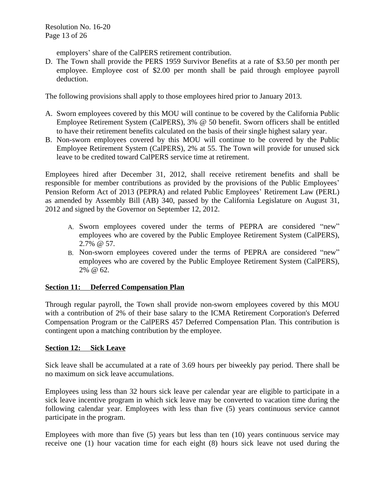Resolution No. 16-20 Page 13 of 26

employers' share of the CalPERS retirement contribution.

D. The Town shall provide the PERS 1959 Survivor Benefits at a rate of \$3.50 per month per employee. Employee cost of \$2.00 per month shall be paid through employee payroll deduction.

The following provisions shall apply to those employees hired prior to January 2013.

- A. Sworn employees covered by this MOU will continue to be covered by the California Public Employee Retirement System (CalPERS), 3% @ 50 benefit. Sworn officers shall be entitled to have their retirement benefits calculated on the basis of their single highest salary year.
- B. Non-sworn employees covered by this MOU will continue to be covered by the Public Employee Retirement System (CalPERS), 2% at 55. The Town will provide for unused sick leave to be credited toward CalPERS service time at retirement.

Employees hired after December 31, 2012, shall receive retirement benefits and shall be responsible for member contributions as provided by the provisions of the Public Employees' Pension Reform Act of 2013 (PEPRA) and related Public Employees' Retirement Law (PERL) as amended by Assembly Bill (AB) 340, passed by the California Legislature on August 31, 2012 and signed by the Governor on September 12, 2012.

- A. Sworn employees covered under the terms of PEPRA are considered "new" employees who are covered by the Public Employee Retirement System (CalPERS), 2.7% @ 57.
- B. Non-sworn employees covered under the terms of PEPRA are considered "new" employees who are covered by the Public Employee Retirement System (CalPERS), 2% @ 62.

# **Section 11: Deferred Compensation Plan**

Through regular payroll, the Town shall provide non-sworn employees covered by this MOU with a contribution of 2% of their base salary to the ICMA Retirement Corporation's Deferred Compensation Program or the CalPERS 457 Deferred Compensation Plan. This contribution is contingent upon a matching contribution by the employee.

## **Section 12: Sick Leave**

Sick leave shall be accumulated at a rate of 3.69 hours per biweekly pay period. There shall be no maximum on sick leave accumulations.

Employees using less than 32 hours sick leave per calendar year are eligible to participate in a sick leave incentive program in which sick leave may be converted to vacation time during the following calendar year. Employees with less than five (5) years continuous service cannot participate in the program.

Employees with more than five (5) years but less than ten (10) years continuous service may receive one (1) hour vacation time for each eight (8) hours sick leave not used during the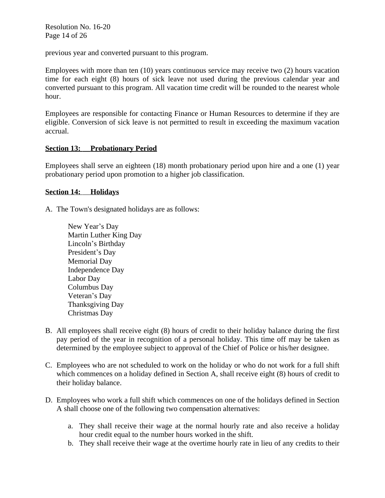Resolution No. 16-20 Page 14 of 26

previous year and converted pursuant to this program.

Employees with more than ten (10) years continuous service may receive two (2) hours vacation time for each eight (8) hours of sick leave not used during the previous calendar year and converted pursuant to this program. All vacation time credit will be rounded to the nearest whole hour.

Employees are responsible for contacting Finance or Human Resources to determine if they are eligible. Conversion of sick leave is not permitted to result in exceeding the maximum vacation accrual.

## **Section 13: Probationary Period**

Employees shall serve an eighteen (18) month probationary period upon hire and a one (1) year probationary period upon promotion to a higher job classification.

## **Section 14: Holidays**

A. The Town's designated holidays are as follows:

- New Year's Day Martin Luther King Day Lincoln's Birthday President's Day Memorial Day Independence Day Labor Day Columbus Day Veteran's Day Thanksgiving Day Christmas Day
- B. All employees shall receive eight (8) hours of credit to their holiday balance during the first pay period of the year in recognition of a personal holiday. This time off may be taken as determined by the employee subject to approval of the Chief of Police or his/her designee.
- C. Employees who are not scheduled to work on the holiday or who do not work for a full shift which commences on a holiday defined in Section A, shall receive eight (8) hours of credit to their holiday balance.
- D. Employees who work a full shift which commences on one of the holidays defined in Section A shall choose one of the following two compensation alternatives:
	- a. They shall receive their wage at the normal hourly rate and also receive a holiday hour credit equal to the number hours worked in the shift.
	- b. They shall receive their wage at the overtime hourly rate in lieu of any credits to their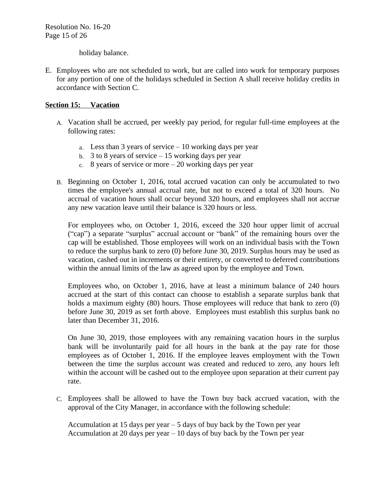holiday balance.

E. Employees who are not scheduled to work, but are called into work for temporary purposes for any portion of one of the holidays scheduled in Section A shall receive holiday credits in accordance with Section C.

## **Section 15: Vacation**

- A. Vacation shall be accrued, per weekly pay period, for regular full-time employees at the following rates:
	- a. Less than 3 years of service  $-10$  working days per year
	- b.  $3$  to 8 years of service  $-15$  working days per year
	- c. 8 years of service or more 20 working days per year
- B. Beginning on October 1, 2016, total accrued vacation can only be accumulated to two times the employee's annual accrual rate, but not to exceed a total of 320 hours. No accrual of vacation hours shall occur beyond 320 hours, and employees shall not accrue any new vacation leave until their balance is 320 hours or less.

For employees who, on October 1, 2016, exceed the 320 hour upper limit of accrual ("cap") a separate "surplus" accrual account or "bank" of the remaining hours over the cap will be established. Those employees will work on an individual basis with the Town to reduce the surplus bank to zero (0) before June 30, 2019. Surplus hours may be used as vacation, cashed out in increments or their entirety, or converted to deferred contributions within the annual limits of the law as agreed upon by the employee and Town.

Employees who, on October 1, 2016, have at least a minimum balance of 240 hours accrued at the start of this contact can choose to establish a separate surplus bank that holds a maximum eighty (80) hours. Those employees will reduce that bank to zero (0) before June 30, 2019 as set forth above. Employees must establish this surplus bank no later than December 31, 2016.

On June 30, 2019, those employees with any remaining vacation hours in the surplus bank will be involuntarily paid for all hours in the bank at the pay rate for those employees as of October 1, 2016. If the employee leaves employment with the Town between the time the surplus account was created and reduced to zero, any hours left within the account will be cashed out to the employee upon separation at their current pay rate.

C. Employees shall be allowed to have the Town buy back accrued vacation, with the approval of the City Manager, in accordance with the following schedule:

Accumulation at 15 days per year – 5 days of buy back by the Town per year Accumulation at 20 days per year – 10 days of buy back by the Town per year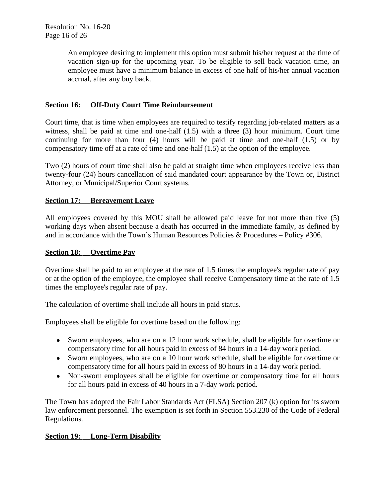An employee desiring to implement this option must submit his/her request at the time of vacation sign-up for the upcoming year. To be eligible to sell back vacation time, an employee must have a minimum balance in excess of one half of his/her annual vacation accrual, after any buy back.

## **Section 16: Off-Duty Court Time Reimbursement**

Court time, that is time when employees are required to testify regarding job-related matters as a witness, shall be paid at time and one-half (1.5) with a three (3) hour minimum. Court time continuing for more than four (4) hours will be paid at time and one-half (1.5) or by compensatory time off at a rate of time and one-half (1.5) at the option of the employee.

Two (2) hours of court time shall also be paid at straight time when employees receive less than twenty-four (24) hours cancellation of said mandated court appearance by the Town or, District Attorney, or Municipal/Superior Court systems.

## **Section 17: Bereavement Leave**

All employees covered by this MOU shall be allowed paid leave for not more than five (5) working days when absent because a death has occurred in the immediate family, as defined by and in accordance with the Town's Human Resources Policies & Procedures – Policy #306.

## **Section 18: Overtime Pay**

Overtime shall be paid to an employee at the rate of 1.5 times the employee's regular rate of pay or at the option of the employee, the employee shall receive Compensatory time at the rate of 1.5 times the employee's regular rate of pay.

The calculation of overtime shall include all hours in paid status.

Employees shall be eligible for overtime based on the following:

- Sworn employees, who are on a 12 hour work schedule, shall be eligible for overtime or compensatory time for all hours paid in excess of 84 hours in a 14-day work period.
- Sworn employees, who are on a 10 hour work schedule, shall be eligible for overtime or compensatory time for all hours paid in excess of 80 hours in a 14-day work period.
- Non-sworn employees shall be eligible for overtime or compensatory time for all hours for all hours paid in excess of 40 hours in a 7-day work period.

The Town has adopted the Fair Labor Standards Act (FLSA) Section 207 (k) option for its sworn law enforcement personnel. The exemption is set forth in Section 553.230 of the Code of Federal Regulations.

# **Section 19: Long-Term Disability**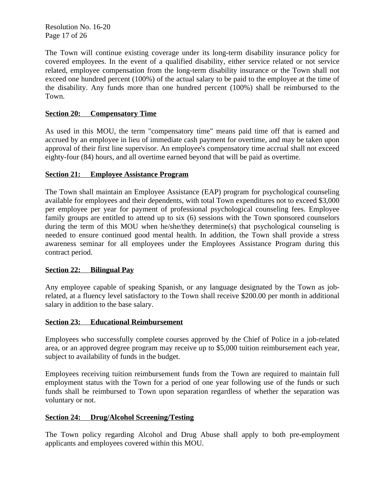Resolution No. 16-20 Page 17 of 26

The Town will continue existing coverage under its long-term disability insurance policy for covered employees. In the event of a qualified disability, either service related or not service related, employee compensation from the long-term disability insurance or the Town shall not exceed one hundred percent (100%) of the actual salary to be paid to the employee at the time of the disability. Any funds more than one hundred percent (100%) shall be reimbursed to the Town.

## **Section 20: Compensatory Time**

As used in this MOU, the term "compensatory time" means paid time off that is earned and accrued by an employee in lieu of immediate cash payment for overtime, and may be taken upon approval of their first line supervisor. An employee's compensatory time accrual shall not exceed eighty-four (84) hours, and all overtime earned beyond that will be paid as overtime.

## **Section 21: Employee Assistance Program**

The Town shall maintain an Employee Assistance (EAP) program for psychological counseling available for employees and their dependents, with total Town expenditures not to exceed \$3,000 per employee per year for payment of professional psychological counseling fees. Employee family groups are entitled to attend up to six (6) sessions with the Town sponsored counselors during the term of this MOU when he/she/they determine(s) that psychological counseling is needed to ensure continued good mental health. In addition, the Town shall provide a stress awareness seminar for all employees under the Employees Assistance Program during this contract period.

## **Section 22: Bilingual Pay**

Any employee capable of speaking Spanish, or any language designated by the Town as jobrelated, at a fluency level satisfactory to the Town shall receive \$200.00 per month in additional salary in addition to the base salary.

## **Section 23: Educational Reimbursement**

Employees who successfully complete courses approved by the Chief of Police in a job-related area, or an approved degree program may receive up to \$5,000 tuition reimbursement each year, subject to availability of funds in the budget.

Employees receiving tuition reimbursement funds from the Town are required to maintain full employment status with the Town for a period of one year following use of the funds or such funds shall be reimbursed to Town upon separation regardless of whether the separation was voluntary or not.

## **Section 24: Drug/Alcohol Screening/Testing**

The Town policy regarding Alcohol and Drug Abuse shall apply to both pre-employment applicants and employees covered within this MOU.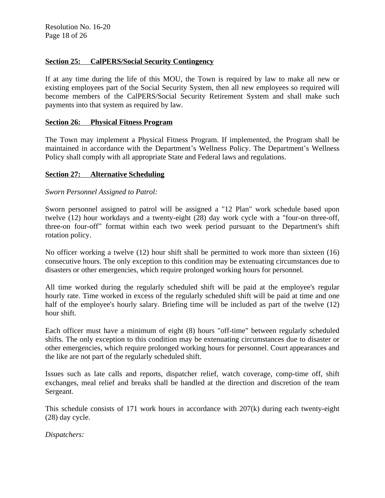## **Section 25: CalPERS/Social Security Contingency**

If at any time during the life of this MOU, the Town is required by law to make all new or existing employees part of the Social Security System, then all new employees so required will become members of the CalPERS/Social Security Retirement System and shall make such payments into that system as required by law.

## **Section 26: Physical Fitness Program**

The Town may implement a Physical Fitness Program. If implemented, the Program shall be maintained in accordance with the Department's Wellness Policy. The Department's Wellness Policy shall comply with all appropriate State and Federal laws and regulations.

## **Section 27: Alternative Scheduling**

## *Sworn Personnel Assigned to Patrol:*

Sworn personnel assigned to patrol will be assigned a "12 Plan" work schedule based upon twelve (12) hour workdays and a twenty-eight (28) day work cycle with a "four-on three-off, three-on four-off" format within each two week period pursuant to the Department's shift rotation policy.

No officer working a twelve (12) hour shift shall be permitted to work more than sixteen (16) consecutive hours. The only exception to this condition may be extenuating circumstances due to disasters or other emergencies, which require prolonged working hours for personnel.

All time worked during the regularly scheduled shift will be paid at the employee's regular hourly rate. Time worked in excess of the regularly scheduled shift will be paid at time and one half of the employee's hourly salary. Briefing time will be included as part of the twelve (12) hour shift.

Each officer must have a minimum of eight (8) hours "off-time" between regularly scheduled shifts. The only exception to this condition may be extenuating circumstances due to disaster or other emergencies, which require prolonged working hours for personnel. Court appearances and the like are not part of the regularly scheduled shift.

Issues such as late calls and reports, dispatcher relief, watch coverage, comp-time off, shift exchanges, meal relief and breaks shall be handled at the direction and discretion of the team Sergeant.

This schedule consists of 171 work hours in accordance with 207(k) during each twenty-eight (28) day cycle.

*Dispatchers:*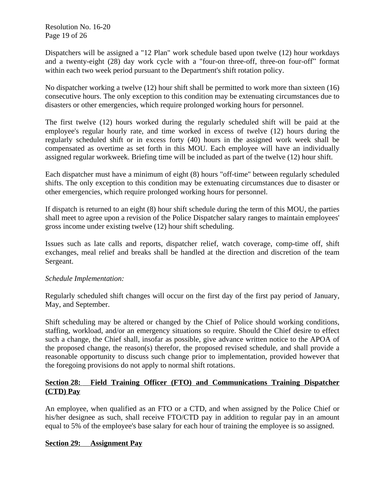Resolution No. 16-20 Page 19 of 26

Dispatchers will be assigned a "12 Plan" work schedule based upon twelve (12) hour workdays and a twenty-eight (28) day work cycle with a "four-on three-off, three-on four-off" format within each two week period pursuant to the Department's shift rotation policy.

No dispatcher working a twelve (12) hour shift shall be permitted to work more than sixteen (16) consecutive hours. The only exception to this condition may be extenuating circumstances due to disasters or other emergencies, which require prolonged working hours for personnel.

The first twelve (12) hours worked during the regularly scheduled shift will be paid at the employee's regular hourly rate, and time worked in excess of twelve (12) hours during the regularly scheduled shift or in excess forty (40) hours in the assigned work week shall be compensated as overtime as set forth in this MOU. Each employee will have an individually assigned regular workweek. Briefing time will be included as part of the twelve (12) hour shift.

Each dispatcher must have a minimum of eight (8) hours "off-time" between regularly scheduled shifts. The only exception to this condition may be extenuating circumstances due to disaster or other emergencies, which require prolonged working hours for personnel.

If dispatch is returned to an eight (8) hour shift schedule during the term of this MOU, the parties shall meet to agree upon a revision of the Police Dispatcher salary ranges to maintain employees' gross income under existing twelve (12) hour shift scheduling.

Issues such as late calls and reports, dispatcher relief, watch coverage, comp-time off, shift exchanges, meal relief and breaks shall be handled at the direction and discretion of the team Sergeant.

# *Schedule Implementation:*

Regularly scheduled shift changes will occur on the first day of the first pay period of January, May, and September.

Shift scheduling may be altered or changed by the Chief of Police should working conditions, staffing, workload, and/or an emergency situations so require. Should the Chief desire to effect such a change, the Chief shall, insofar as possible, give advance written notice to the APOA of the proposed change, the reason(s) therefor, the proposed revised schedule, and shall provide a reasonable opportunity to discuss such change prior to implementation, provided however that the foregoing provisions do not apply to normal shift rotations.

## **Section 28: Field Training Officer (FTO) and Communications Training Dispatcher (CTD) Pay**

An employee, when qualified as an FTO or a CTD, and when assigned by the Police Chief or his/her designee as such, shall receive FTO/CTD pay in addition to regular pay in an amount equal to 5% of the employee's base salary for each hour of training the employee is so assigned.

## **Section 29: Assignment Pay**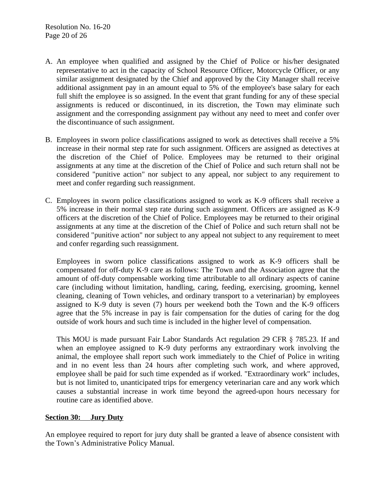- A. An employee when qualified and assigned by the Chief of Police or his/her designated representative to act in the capacity of School Resource Officer, Motorcycle Officer, or any similar assignment designated by the Chief and approved by the City Manager shall receive additional assignment pay in an amount equal to 5% of the employee's base salary for each full shift the employee is so assigned. In the event that grant funding for any of these special assignments is reduced or discontinued, in its discretion, the Town may eliminate such assignment and the corresponding assignment pay without any need to meet and confer over the discontinuance of such assignment.
- B. Employees in sworn police classifications assigned to work as detectives shall receive a 5% increase in their normal step rate for such assignment. Officers are assigned as detectives at the discretion of the Chief of Police. Employees may be returned to their original assignments at any time at the discretion of the Chief of Police and such return shall not be considered "punitive action" nor subject to any appeal, nor subject to any requirement to meet and confer regarding such reassignment.
- C. Employees in sworn police classifications assigned to work as K-9 officers shall receive a 5% increase in their normal step rate during such assignment. Officers are assigned as K-9 officers at the discretion of the Chief of Police. Employees may be returned to their original assignments at any time at the discretion of the Chief of Police and such return shall not be considered "punitive action" nor subject to any appeal not subject to any requirement to meet and confer regarding such reassignment.

Employees in sworn police classifications assigned to work as K-9 officers shall be compensated for off-duty K-9 care as follows: The Town and the Association agree that the amount of off-duty compensable working time attributable to all ordinary aspects of canine care (including without limitation, handling, caring, feeding, exercising, grooming, kennel cleaning, cleaning of Town vehicles, and ordinary transport to a veterinarian) by employees assigned to K-9 duty is seven (7) hours per weekend both the Town and the K-9 officers agree that the 5% increase in pay is fair compensation for the duties of caring for the dog outside of work hours and such time is included in the higher level of compensation.

This MOU is made pursuant Fair Labor Standards Act regulation 29 CFR § 785.23. If and when an employee assigned to K-9 duty performs any extraordinary work involving the animal, the employee shall report such work immediately to the Chief of Police in writing and in no event less than 24 hours after completing such work, and where approved, employee shall be paid for such time expended as if worked. "Extraordinary work" includes, but is not limited to, unanticipated trips for emergency veterinarian care and any work which causes a substantial increase in work time beyond the agreed-upon hours necessary for routine care as identified above.

## **Section 30: Jury Duty**

An employee required to report for jury duty shall be granted a leave of absence consistent with the Town's Administrative Policy Manual.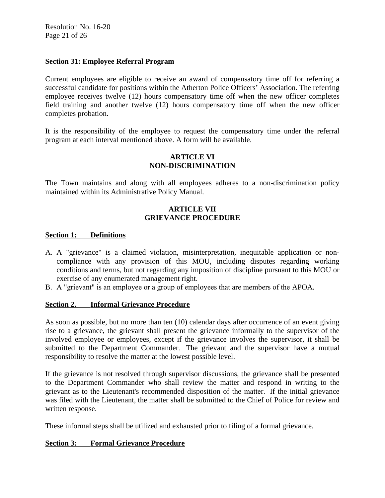Resolution No. 16-20 Page 21 of 26

## **Section 31: Employee Referral Program**

Current employees are eligible to receive an award of compensatory time off for referring a successful candidate for positions within the Atherton Police Officers' Association. The referring employee receives twelve (12) hours compensatory time off when the new officer completes field training and another twelve (12) hours compensatory time off when the new officer completes probation.

It is the responsibility of the employee to request the compensatory time under the referral program at each interval mentioned above. A form will be available.

## **ARTICLE VI NON-DISCRIMINATION**

The Town maintains and along with all employees adheres to a non-discrimination policy maintained within its Administrative Policy Manual.

## **ARTICLE VII GRIEVANCE PROCEDURE**

## **Section 1: Definitions**

- A. A "grievance" is a claimed violation, misinterpretation, inequitable application or noncompliance with any provision of this MOU, including disputes regarding working conditions and terms, but not regarding any imposition of discipline pursuant to this MOU or exercise of any enumerated management right.
- B. A "grievant" is an employee or a group of employees that are members of the APOA.

## **Section 2. Informal Grievance Procedure**

As soon as possible, but no more than ten (10) calendar days after occurrence of an event giving rise to a grievance, the grievant shall present the grievance informally to the supervisor of the involved employee or employees, except if the grievance involves the supervisor, it shall be submitted to the Department Commander. The grievant and the supervisor have a mutual responsibility to resolve the matter at the lowest possible level.

If the grievance is not resolved through supervisor discussions, the grievance shall be presented to the Department Commander who shall review the matter and respond in writing to the grievant as to the Lieutenant's recommended disposition of the matter. If the initial grievance was filed with the Lieutenant, the matter shall be submitted to the Chief of Police for review and written response.

These informal steps shall be utilized and exhausted prior to filing of a formal grievance.

## **Section 3: Formal Grievance Procedure**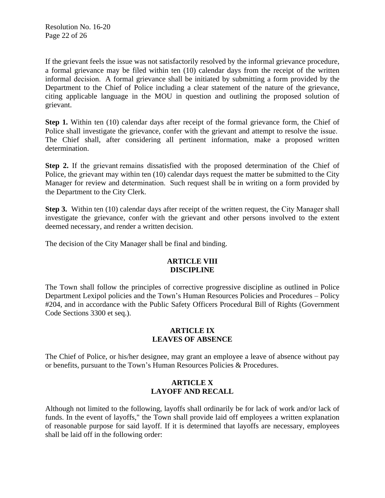If the grievant feels the issue was not satisfactorily resolved by the informal grievance procedure, a formal grievance may be filed within ten (10) calendar days from the receipt of the written informal decision. A formal grievance shall be initiated by submitting a form provided by the Department to the Chief of Police including a clear statement of the nature of the grievance, citing applicable language in the MOU in question and outlining the proposed solution of grievant.

**Step 1.** Within ten (10) calendar days after receipt of the formal grievance form, the Chief of Police shall investigate the grievance, confer with the grievant and attempt to resolve the issue. The Chief shall, after considering all pertinent information, make a proposed written determination.

**Step 2.** If the grievant remains dissatisfied with the proposed determination of the Chief of Police, the grievant may within ten (10) calendar days request the matter be submitted to the City Manager for review and determination. Such request shall be in writing on a form provided by the Department to the City Clerk.

**Step 3.** Within ten (10) calendar days after receipt of the written request, the City Manager shall investigate the grievance, confer with the grievant and other persons involved to the extent deemed necessary, and render a written decision.

The decision of the City Manager shall be final and binding.

## **ARTICLE VIII DISCIPLINE**

The Town shall follow the principles of corrective progressive discipline as outlined in Police Department Lexipol policies and the Town's Human Resources Policies and Procedures – Policy #204, and in accordance with the Public Safety Officers Procedural Bill of Rights (Government Code Sections 3300 et seq.).

## **ARTICLE IX LEAVES OF ABSENCE**

The Chief of Police, or his/her designee, may grant an employee a leave of absence without pay or benefits, pursuant to the Town's Human Resources Policies & Procedures.

# **ARTICLE X LAYOFF AND RECALL**

Although not limited to the following, layoffs shall ordinarily be for lack of work and/or lack of funds. In the event of layoffs," the Town shall provide laid off employees a written explanation of reasonable purpose for said layoff. If it is determined that layoffs are necessary, employees shall be laid off in the following order: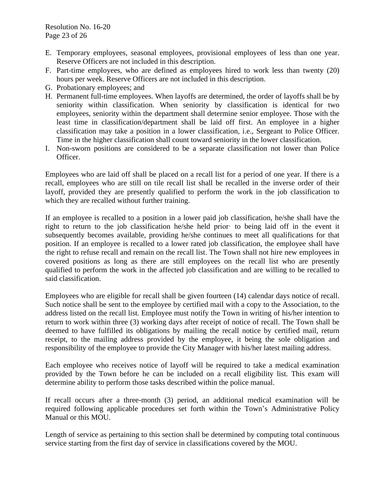- E. Temporary employees, seasonal employees, provisional employees of less than one year. Reserve Officers are not included in this description.
- F. Part-time employees, who are defined as employees hired to work less than twenty (20) hours per week. Reserve Officers are not included in this description.
- G. Probationary employees; and
- H. Permanent full-time employees. When layoffs are determined, the order of layoffs shall be by seniority within classification. When seniority by classification is identical for two employees, seniority within the department shall determine senior employee. Those with the least time in classification/department shall be laid off first. An employee in a higher classification may take a position in a lower classification, i.e., Sergeant to Police Officer. Time in the higher classification shall count toward seniority in the lower classification.
- I. Non-sworn positions are considered to be a separate classification not lower than Police Officer.

Employees who are laid off shall be placed on a recall list for a period of one year. If there is a recall, employees who are still on tile recall list shall be recalled in the inverse order of their layoff, provided they are presently qualified to perform the work in the job classification to which they are recalled without further training.

If an employee is recalled to a position in a lower paid job classification, he/she shall have the right to return to the job classification he/she held prior· to being laid off in the event it subsequently becomes available, providing he/she continues to meet all qualifications for that position. If an employee is recalled to a lower rated job classification, the employee shall have the right to refuse recall and remain on the recall list. The Town shall not hire new employees in covered positions as long as there are still employees on the recall list who are presently qualified to perform the work in the affected job classification and are willing to be recalled to said classification.

Employees who are eligible for recall shall be given fourteen (14) calendar days notice of recall. Such notice shall be sent to the employee by certified mail with a copy to the Association, to the address listed on the recall list. Employee must notify the Town in writing of his/her intention to return to work within three (3) working days after receipt of notice of recall. The Town shall be deemed to have fulfilled its obligations by mailing the recall notice by certified mail, return receipt, to the mailing address provided by the employee, it being the sole obligation and responsibility of the employee to provide the City Manager with his/her latest mailing address.

Each employee who receives notice of layoff will be required to take a medical examination provided by the Town before he can be included on a recall eligibility list. This exam will determine ability to perform those tasks described within the police manual.

If recall occurs after a three-month (3) period, an additional medical examination will be required following applicable procedures set forth within the Town's Administrative Policy Manual or this MOU.

Length of service as pertaining to this section shall be determined by computing total continuous service starting from the first day of service in classifications covered by the MOU.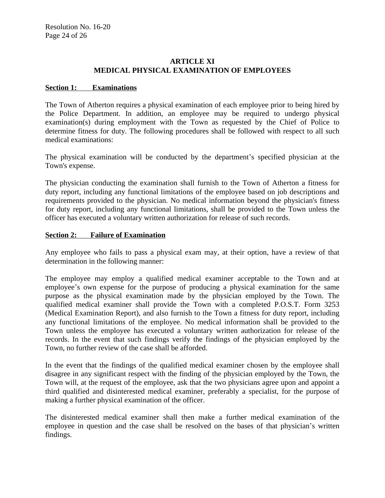## **ARTICLE XI MEDICAL PHYSICAL EXAMINATION OF EMPLOYEES**

## **Section 1: Examinations**

The Town of Atherton requires a physical examination of each employee prior to being hired by the Police Department. In addition, an employee may be required to undergo physical examination(s) during employment with the Town as requested by the Chief of Police to determine fitness for duty. The following procedures shall be followed with respect to all such medical examinations:

The physical examination will be conducted by the department's specified physician at the Town's expense.

The physician conducting the examination shall furnish to the Town of Atherton a fitness for duty report, including any functional limitations of the employee based on job descriptions and requirements provided to the physician. No medical information beyond the physician's fitness for duty report, including any functional limitations, shall be provided to the Town unless the officer has executed a voluntary written authorization for release of such records.

## **Section 2: Failure of Examination**

Any employee who fails to pass a physical exam may, at their option, have a review of that determination in the following manner:

The employee may employ a qualified medical examiner acceptable to the Town and at employee's own expense for the purpose of producing a physical examination for the same purpose as the physical examination made by the physician employed by the Town. The qualified medical examiner shall provide the Town with a completed P.O.S.T. Form 3253 (Medical Examination Report), and also furnish to the Town a fitness for duty report, including any functional limitations of the employee. No medical information shall be provided to the Town unless the employee has executed a voluntary written authorization for release of the records. In the event that such findings verify the findings of the physician employed by the Town, no further review of the case shall be afforded.

In the event that the findings of the qualified medical examiner chosen by the employee shall disagree in any significant respect with the finding of the physician employed by the Town, the Town will, at the request of the employee, ask that the two physicians agree upon and appoint a third qualified and disinterested medical examiner, preferably a specialist, for the purpose of making a further physical examination of the officer.

The disinterested medical examiner shall then make a further medical examination of the employee in question and the case shall be resolved on the bases of that physician's written findings.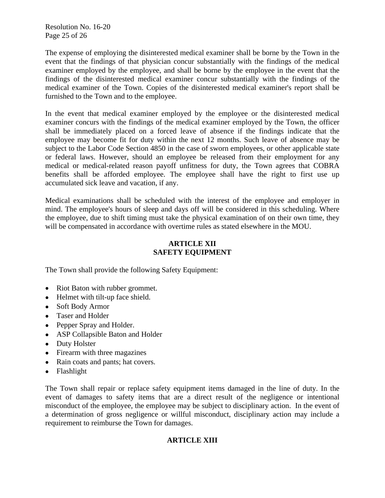Resolution No. 16-20 Page 25 of 26

The expense of employing the disinterested medical examiner shall be borne by the Town in the event that the findings of that physician concur substantially with the findings of the medical examiner employed by the employee, and shall be borne by the employee in the event that the findings of the disinterested medical examiner concur substantially with the findings of the medical examiner of the Town. Copies of the disinterested medical examiner's report shall be furnished to the Town and to the employee.

In the event that medical examiner employed by the employee or the disinterested medical examiner concurs with the findings of the medical examiner employed by the Town, the officer shall be immediately placed on a forced leave of absence if the findings indicate that the employee may become fit for duty within the next 12 months. Such leave of absence may be subject to the Labor Code Section 4850 in the case of sworn employees, or other applicable state or federal laws. However, should an employee be released from their employment for any medical or medical-related reason payoff unfitness for duty, the Town agrees that COBRA benefits shall be afforded employee. The employee shall have the right to first use up accumulated sick leave and vacation, if any.

Medical examinations shall be scheduled with the interest of the employee and employer in mind. The employee's hours of sleep and days off will be considered in this scheduling. Where the employee, due to shift timing must take the physical examination of on their own time, they will be compensated in accordance with overtime rules as stated elsewhere in the MOU.

# **ARTICLE XII SAFETY EQUIPMENT**

The Town shall provide the following Safety Equipment:

- Riot Baton with rubber grommet.
- Helmet with tilt-up face shield.
- Soft Body Armor
- Taser and Holder
- Pepper Spray and Holder.
- ASP Collapsible Baton and Holder
- Duty Holster
- Firearm with three magazines
- Rain coats and pants; hat covers.
- Flashlight

The Town shall repair or replace safety equipment items damaged in the line of duty. In the event of damages to safety items that are a direct result of the negligence or intentional misconduct of the employee, the employee may be subject to disciplinary action. In the event of a determination of gross negligence or willful misconduct, disciplinary action may include a requirement to reimburse the Town for damages.

## **ARTICLE XIII**